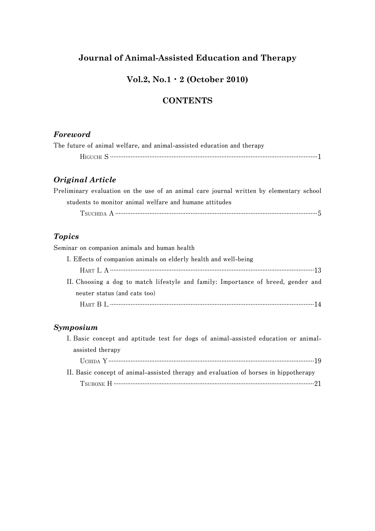# **Journal of Animal-Assisted Education and Therapy**

### **Vol.2, No.1**・**2 (October 2010)**

## **CONTENTS**

#### *Foreword*

|  |  |  | The future of animal welfare, and animal-assisted education and therapy |  |  |  |  |
|--|--|--|-------------------------------------------------------------------------|--|--|--|--|
|  |  |  |                                                                         |  |  |  |  |

## *Original Article*

**Preliminary evaluation on the use of an animal care journal written by elementary school students to monitor animal welfare and humane attitudes**

 **TSUCHIDA A ......................................................................................................................5**

#### *Topics*

**Seminar on companion animals and human health**

| I. Effects of companion animals on elderly health and well-being                  |  |
|-----------------------------------------------------------------------------------|--|
|                                                                                   |  |
| II. Choosing a dog to match lifestyle and family: Importance of breed, gender and |  |
| neuter status (and cats too)                                                      |  |
|                                                                                   |  |

### *Symposium*

| I. Basic concept and aptitude test for dogs of animal-assisted education or animal-                                                                                                                                                                                                                                                  |
|--------------------------------------------------------------------------------------------------------------------------------------------------------------------------------------------------------------------------------------------------------------------------------------------------------------------------------------|
| assisted therapy                                                                                                                                                                                                                                                                                                                     |
|                                                                                                                                                                                                                                                                                                                                      |
| II. Basic concept of animal-assisted therapy and evaluation of horses in hippotherapy                                                                                                                                                                                                                                                |
| TSUBONE H $\cdots$ $\cdots$ $\cdots$ $\cdots$ $\cdots$ $\cdots$ $\cdots$ $\cdots$ $\cdots$ $\cdots$ $\cdots$ $\cdots$ $\cdots$ $\cdots$ $\cdots$ $\cdots$ $\cdots$ $\cdots$ $\cdots$ $\cdots$ $\cdots$ $\cdots$ $\cdots$ $\cdots$ $\cdots$ $\cdots$ $\cdots$ $\cdots$ $\cdots$ $\cdots$ $\cdots$ $\cdots$ $\cdots$ $\cdots$ $\cdots$ |